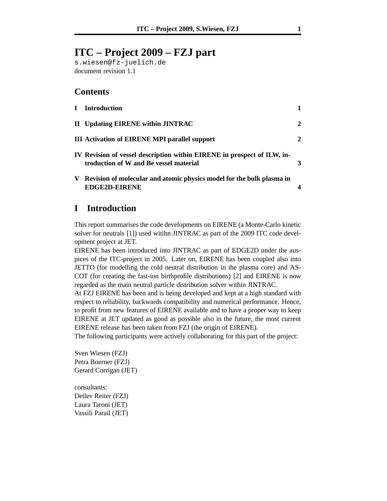# **ITC – Project 2009 – FZJ part**

s.wiesen@fz-juelich.de document revision 1.1

### **Contents**

| Т. | <b>Introduction</b>                                                                                               |              |
|----|-------------------------------------------------------------------------------------------------------------------|--------------|
|    | II Updating EIRENE within JINTRAC                                                                                 | $\mathbf{2}$ |
|    | <b>III Activation of EIRENE MPI parallel support</b>                                                              | $\mathbf 2$  |
|    | IV Revision of vessel description within EIRENE in prospect of ILW, in-<br>troduction of W and Be vessel material |              |
|    | V Revision of molecular and atomic physics model for the bulk plasma in<br><b>EDGE2D-EIRENE</b>                   |              |

## **I Introduction**

This report summarises the code developments on EIRENE (a Monte-Carlo kinetic solver for neutrals [1]) used witihn JINTRAC as part of the 2009 ITC code development project at JET.

EIRENE has been introduced into JINTRAC as part of EDGE2D under the auspices of the ITC-project in 2005. Later on, EIRENE has been coupled also into JETTO (for modelling the cold neutral distribution in the plasma core) and AS-COT (for creating the fast-ion birthprofile distributions) [2] and EIRENE is now regarded as the main neutral particle distribution solver within JINTRAC.

At FZJ EIRENE has been and is being developed and kept at a high standard with respect to reliability, backwards compatibility and numerical performance. Hence, to profit from new features of EIRENE available and to have a proper way to keep EIRENE at JET updated as good as possible also in the future, the most current EIRENE release has been taken from FZJ (the origin of EIRENE).

The following participants were actively collaborating for this part of the project:

Sven Wiesen (FZJ) Petra Boerner (FZJ) Gerard Corrigan (JET)

consultants: Detlev Reiter (FZJ) Laura Taroni (JET) Vassili Parail (JET)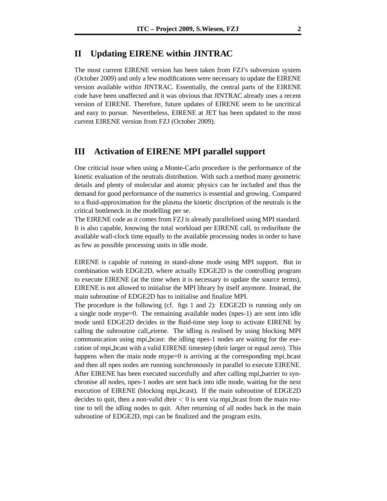### **II Updating EIRENE within JINTRAC**

The most current EIRENE version has been taken from FZJ's subversion system (October 2009) and only a few modifications were necessary to update the EIRENE version available within JINTRAC. Essentially, the central parts of the EIRENE code have been unaffected and it was obvious that JINTRAC already uses a recent version of EIRENE. Therefore, future updates of EIRENE seem to be uncritical and easy to pursue. Nevertheless, EIRENE at JET has been updated to the most current EIRENE version from FZJ (October 2009).

#### **III Activation of EIRENE MPI parallel support**

One criticial issue when using a Monte-Carlo procedure is the performance of the kinetic evaluation of the neutrals distribution. With such a method many geometric details and plenty of molecular and atomic physics can be included and thus the demand for good performance of the numerics is essential and growing. Compared to a fluid-approximation for the plasma the kinetic discription of the neutrals is the critical bottleneck in the modelling per se.

The EIRENE code as it comes from FZJ is already parallelised using MPI standard. It is also capable, knowing the total workload per EIRENE call, to redisribute the available wall-clock time equally to the available processing nodes in order to have as few as possible processing units in idle mode.

EIRENE is capable of running in stand-alone mode using MPI support. But in combination with EDGE2D, where actually EDGE2D is the controlling program to execute EIRENE (at the time when it is necessary to update the source terms), EIRENE is not allowed to initialise the MPI library by itself anymore. Instead, the main subroutine of EDGE2D has to initialise and finalize MPI.

The procedure is the following (cf. figs 1 and 2): EDGE2D is running only on a single node mype=0. The remaining available nodes (npes-1) are sent into idle mode until EDGE2D decides in the fluid-time step loop to activate EIRENE by calling the subroutine call eirene. The idling is realised by using blocking MPI communication using mpi bcast: the idling npes-1 nodes are waiting for the execution of mpi bcast with a valid EIRENE timestep (dteir larger or equal zero). This happens when the main node mype= $0$  is arriving at the corresponding mpi\_bcast and then all npes nodes are running sunchronously in parallel to execute EIRENE. After EIRENE has been executed succesfully and after calling mpi barrier to synchronise all nodes, npes-1 nodes are sent back into idle mode, waiting for the next execution of EIRENE (blocking mpi bcast). If the main subroutine of EDGE2D decides to quit, then a non-valid dteir  $< 0$  is sent via mpi bcast from the main routine to tell the idling nodes to quit. After returning of all nodes back in the main subroutine of EDGE2D, mpi can be finalized and the program exits.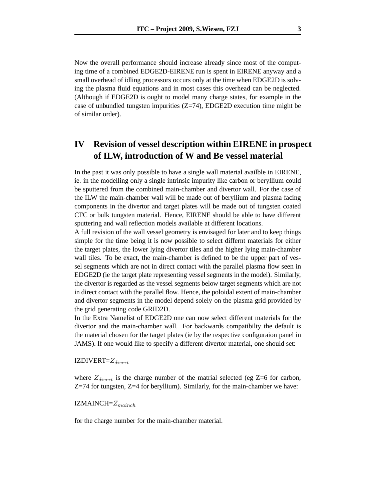Now the overall performance should increase already since most of the computing time of a combined EDGE2D-EIRENE run is spent in EIRENE anyway and a small overhead of idling processors occurs only at the time when EDGE2D is solving the plasma fluid equations and in most cases this overhead can be neglected. (Although if EDGE2D is ought to model many charge states, for example in the case of unbundled tungsten impurities  $(Z=74)$ , EDGE2D execution time might be of similar order).

# **IV Revision of vessel description within EIRENE in prospect of ILW, introduction of W and Be vessel material**

In the past it was only possible to have a single wall material availble in EIRENE, ie. in the modelling only a single intrinsic impurity like carbon or beryllium could be sputtered from the combined main-chamber and divertor wall. For the case of the ILW the main-chamber wall will be made out of beryllium and plasma facing components in the divertor and target plates will be made out of tungsten coated CFC or bulk tungsten material. Hence, EIRENE should be able to have different sputtering and wall reflection models available at different locations.

A full revision of the wall vessel geometry is envisaged for later and to keep things simple for the time being it is now possible to select differnt materials for either the target plates, the lower lying divertor tiles and the higher lying main-chamber wall tiles. To be exact, the main-chamber is defined to be the upper part of vessel segments which are not in direct contact with the parallel plasma flow seen in EDGE2D (ie the target plate representing vessel segments in the model). Similarly, the divertor is regarded as the vessel segments below target segments which are not in direct contact with the parallel flow. Hence, the poloidal extent of main-chamber and divertor segments in the model depend solely on the plasma grid provided by the grid generating code GRID2D.

In the Extra Namelist of EDGE2D one can now select different materials for the divertor and the main-chamber wall. For backwards compatibilty the default is the material chosen for the target plates (ie by the respective configuraion panel in JAMS). If one would like to specify a different divertor material, one should set:

 $IZDIVERT = Z_{direct}$ 

where  $Z_{divert}$  is the charge number of the matrial selected (eg  $Z=6$  for carbon, Z=74 for tungsten, Z=4 for beryllium). Similarly, for the main-chamber we have:

 $IZMAINCH = Z_{mainch}$ 

for the charge number for the main-chamber material.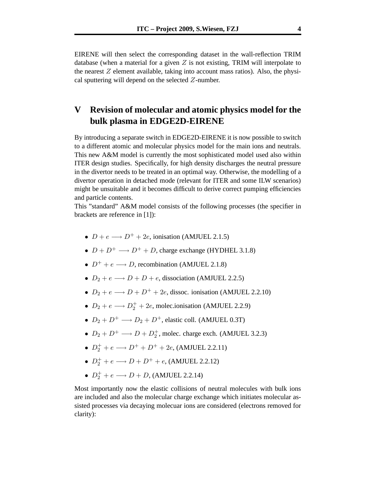EIRENE will then select the corresponding dataset in the wall-reflection TRIM database (when a material for a given  $Z$  is not existing, TRIM will interpolate to the nearest  $Z$  element available, taking into account mass ratios). Also, the physical sputtering will depend on the selected Z-number.

# **V Revision of molecular and atomic physics model for the bulk plasma in EDGE2D-EIRENE**

By introducing a separate switch in EDGE2D-EIRENE it is now possible to switch to a different atomic and molecular physics model for the main ions and neutrals. This new A&M model is currently the most sophisticated model used also within ITER design studies. Specifically, for high density discharges the neutral pressure in the divertor needs to be treated in an optimal way. Otherwise, the modelling of a divertor operation in detached mode (relevant for ITER and some ILW scenarios) might be unsuitable and it becomes difficult to derive correct pumping efficiencies and particle contents.

This "standard" A&M model consists of the following processes (the specifier in brackets are reference in [1]):

- $D + e \longrightarrow D^+ + 2e$ , ionisation (AMJUEL 2.1.5)
- $D + D^+$   $\longrightarrow$   $D^+ + D$ , charge exchange (HYDHEL 3.1.8)
- $D^+ + e \longrightarrow D$ , recombination (AMJUEL 2.1.8)
- $D_2 + e \longrightarrow D + D + e$ , dissociation (AMJUEL 2.2.5)
- $D_2 + e \longrightarrow D + D^+ + 2e$ , dissoc. ionisation (AMJUEL 2.2.10)
- $D_2 + e \longrightarrow D_2^+ + 2e$ , molec.ionisation (AMJUEL 2.2.9)
- $D_2 + D^+ \longrightarrow D_2 + D^+$ , elastic coll. (AMJUEL 0.3T)
- $D_2 + D^+ \longrightarrow D + D_2^+$ , molec. charge exch. (AMJUEL 3.2.3)
- $D_2^+ + e \longrightarrow D^+ + D^+ + 2e$ , (AMJUEL 2.2.11)
- $D_2^+ + e \longrightarrow D + D^+ + e$ , (AMJUEL 2.2.12)
- $D_2^+ + e \longrightarrow D + D$ , (AMJUEL 2.2.14)

Most importantly now the elastic collisions of neutral molecules with bulk ions are included and also the molecular charge exchange which initiates molecular assisted processes via decaying molecuar ions are considered (electrons removed for clarity):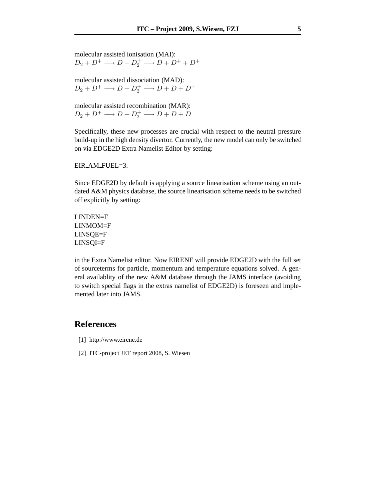molecular assisted ionisation (MAI):  $D_2 + D^+ \longrightarrow D + D_2^+ \longrightarrow D + D^+ + D^+$ 

molecular assisted dissociation (MAD):  $D_2 + D^+ \longrightarrow D + D_2^+ \longrightarrow D + D + D^+$ 

molecular assisted recombination (MAR):  $D_2 + D^+ \longrightarrow D + D_2^+ \longrightarrow D + D + D$ 

Specifically, these new processes are crucial with respect to the neutral pressure build-up in the high density divertor. Currently, the new model can only be switched on via EDGE2D Extra Namelist Editor by setting:

EIR AM FUEL=3.

Since EDGE2D by default is applying a source linearisation scheme using an outdated A&M physics database, the source linearisation scheme needs to be switched off explicitly by setting:

LINDEN=F LINMOM=F LINSQE=F LINSQI=F

in the Extra Namelist editor. Now EIRENE will provide EDGE2D with the full set of sourceterms for particle, momentum and temperature equations solved. A general availablity of the new A&M database through the JAMS interface (avoiding to switch special flags in the extras namelist of EDGE2D) is foreseen and implemented later into JAMS.

### **References**

- [1] http://www.eirene.de
- [2] ITC-project JET report 2008, S. Wiesen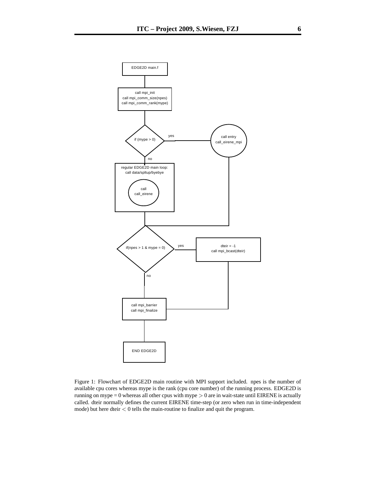

Figure 1: Flowchart of EDGE2D main routine with MPI support included. npes is the number of available cpu cores whereas mype is the rank (cpu core number) of the running process. EDGE2D is running on mype  $= 0$  whereas all other cpus with mype  $> 0$  are in wait-state until EIRENE is actually called. dteir normally defines the current EIRENE time-step (or zero when run in time-independent mode) but here dteir  $< 0$  tells the main-routine to finalize and quit the program.